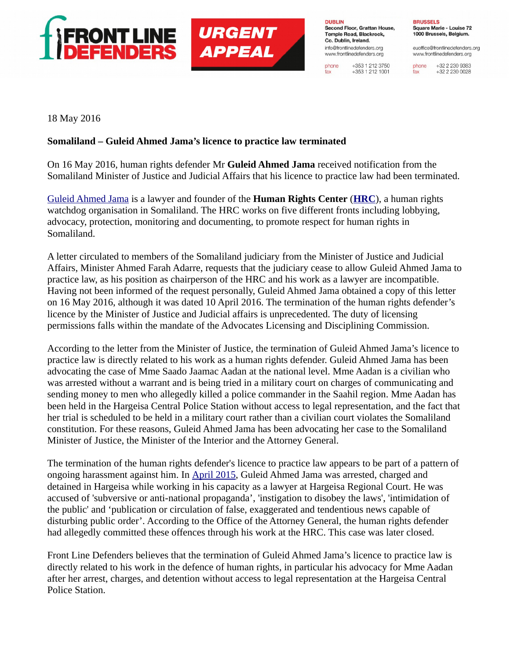

## **URGENT APPEAL**

**DUBLIN** Second Floor, Grattan House, Temple Road, Blackrock. Co. Dublin, Ireland. info@frontlinedefenders.org www.frontlinedefenders.org

+353 1 212 3750 phone  $+353$  1 212 1001 fax

**BRUSSELS** Square Marie - Louise 72 1000 Brussels, Belgium.

euoffice@frontlinedefenders.org www.frontlinedefenders.org

+32 2 230 9383 phone +32 2 230 0028 fax

18 May 2016

## **Somaliland – Guleid Ahmed Jama's licence to practice law terminated**

On 16 May 2016, human rights defender Mr **Guleid Ahmed Jama** received notification from the Somaliland Minister of Justice and Judicial Affairs that his licence to practice law had been terminated.

[Guleid Ahmed Jama](https://frontlinedefenders.org/en/profile/guleid-ahmad-jama) is a lawyer and founder of the **Human Rights Center** (**[HRC](http://www.hrcsomaliland.org/)**), a human rights watchdog organisation in Somaliland. The HRC works on five different fronts including lobbying, advocacy, protection, monitoring and documenting, to promote respect for human rights in Somaliland.

A letter circulated to members of the Somaliland judiciary from the Minister of Justice and Judicial Affairs, Minister Ahmed Farah Adarre, requests that the judiciary cease to allow Guleid Ahmed Jama to practice law, as his position as chairperson of the HRC and his work as a lawyer are incompatible. Having not been informed of the request personally, Guleid Ahmed Jama obtained a copy of this letter on 16 May 2016, although it was dated 10 April 2016. The termination of the human rights defender's licence by the Minister of Justice and Judicial affairs is unprecedented. The duty of licensing permissions falls within the mandate of the Advocates Licensing and Disciplining Commission.

According to the letter from the Minister of Justice, the termination of Guleid Ahmed Jama's licence to practice law is directly related to his work as a human rights defender. Guleid Ahmed Jama has been advocating the case of Mme Saado Jaamac Aadan at the national level. Mme Aadan is a civilian who was arrested without a warrant and is being tried in a military court on charges of communicating and sending money to men who allegedly killed a police commander in the Saahil region. Mme Aadan has been held in the Hargeisa Central Police Station without access to legal representation, and the fact that her trial is scheduled to be held in a military court rather than a civilian court violates the Somaliland constitution. For these reasons, Guleid Ahmed Jama has been advocating her case to the Somaliland Minister of Justice, the Minister of the Interior and the Attorney General.

The termination of the human rights defender's licence to practice law appears to be part of a pattern of ongoing harassment against him. In [April 2015,](https://www.frontlinedefenders.org/en/case/case-history-guleid-ahmed-jama) Guleid Ahmed Jama was arrested, charged and detained in Hargeisa while working in his capacity as a lawyer at Hargeisa Regional Court. He was accused of 'subversive or anti-national propaganda', 'instigation to disobey the laws', 'intimidation of the public' and 'publication or circulation of false, exaggerated and tendentious news capable of disturbing public order'. According to the Office of the Attorney General, the human rights defender had allegedly committed these offences through his work at the HRC. This case was later closed.

Front Line Defenders believes that the termination of Guleid Ahmed Jama's licence to practice law is directly related to his work in the defence of human rights, in particular his advocacy for Mme Aadan after her arrest, charges, and detention without access to legal representation at the Hargeisa Central Police Station.